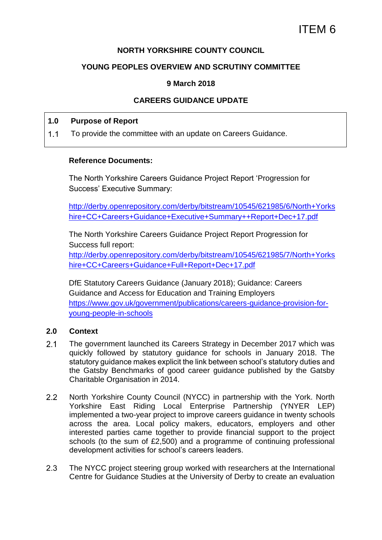### **NORTH YORKSHIRE COUNTY COUNCIL**

### **YOUNG PEOPLES OVERVIEW AND SCRUTINY COMMITTEE**

#### **9 March 2018**

## **CAREERS GUIDANCE UPDATE**

#### **1.0 Purpose of Report**

 $1.1$ To provide the committee with an update on Careers Guidance.

#### **Reference Documents:**

The North Yorkshire Careers Guidance Project Report 'Progression for Success' Executive Summary:

[http://derby.openrepository.com/derby/bitstream/10545/621985/6/North+Yorks](http://derby.openrepository.com/derby/bitstream/10545/621985/6/North+Yorkshire+CC+Careers+Guidance+Executive+Summary++Report+Dec+17.pdf) [hire+CC+Careers+Guidance+Executive+Summary++Report+Dec+17.pdf](http://derby.openrepository.com/derby/bitstream/10545/621985/6/North+Yorkshire+CC+Careers+Guidance+Executive+Summary++Report+Dec+17.pdf)

The North Yorkshire Careers Guidance Project Report Progression for Success full report:

[http://derby.openrepository.com/derby/bitstream/10545/621985/7/North+Yorks](http://derby.openrepository.com/derby/bitstream/10545/621985/7/North+Yorkshire+CC+Careers+Guidance+Full+Report+Dec+17.pdf) [hire+CC+Careers+Guidance+Full+Report+Dec+17.pdf](http://derby.openrepository.com/derby/bitstream/10545/621985/7/North+Yorkshire+CC+Careers+Guidance+Full+Report+Dec+17.pdf)

DfE Statutory Careers Guidance (January 2018); Guidance: Careers Guidance and Access for Education and Training Employers [https://www.gov.uk/government/publications/careers-guidance-provision-for](https://www.gov.uk/government/publications/careers-guidance-provision-for-young-people-in-schools)[young-people-in-schools](https://www.gov.uk/government/publications/careers-guidance-provision-for-young-people-in-schools)

#### **2.0 Context**

- $2.1$ The government launched its Careers Strategy in December 2017 which was quickly followed by statutory guidance for schools in January 2018. The statutory guidance makes explicit the link between school's statutory duties and the Gatsby Benchmarks of good career guidance published by the Gatsby Charitable Organisation in 2014.
- $2.2$ North Yorkshire County Council (NYCC) in partnership with the York. North Yorkshire East Riding Local Enterprise Partnership (YNYER LEP) implemented a two-year project to improve careers guidance in twenty schools across the area. Local policy makers, educators, employers and other interested parties came together to provide financial support to the project schools (to the sum of £2,500) and a programme of continuing professional development activities for school's careers leaders.
- $2.3$ The NYCC project steering group worked with researchers at the International Centre for Guidance Studies at the University of Derby to create an evaluation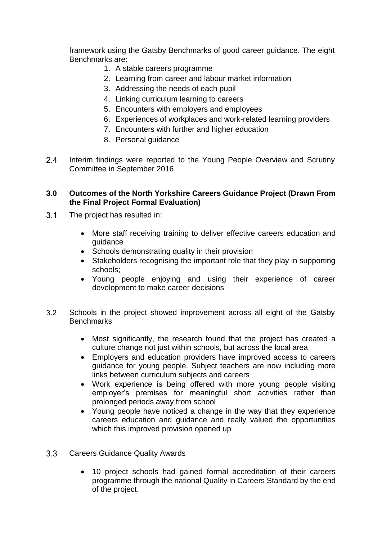framework using the Gatsby Benchmarks of good career guidance. The eight Benchmarks are:

- 1. A stable careers programme
- 2. Learning from career and labour market information
- 3. Addressing the needs of each pupil
- 4. Linking curriculum learning to careers
- 5. Encounters with employers and employees
- 6. Experiences of workplaces and work-related learning providers
- 7. Encounters with further and higher education
- 8. Personal guidance
- $2.4$ Interim findings were reported to the Young People Overview and Scrutiny Committee in September 2016

### **3.0 Outcomes of the North Yorkshire Careers Guidance Project (Drawn From the Final Project Formal Evaluation)**

- $3.1$ The project has resulted in:
	- More staff receiving training to deliver effective careers education and guidance
	- Schools demonstrating quality in their provision
	- Stakeholders recognising the important role that they play in supporting schools;
	- Young people enjoying and using their experience of career development to make career decisions
- $3.2$ Schools in the project showed improvement across all eight of the Gatsby **Benchmarks** 
	- Most significantly, the research found that the project has created a culture change not just within schools, but across the local area
	- Employers and education providers have improved access to careers guidance for young people. Subject teachers are now including more links between curriculum subjects and careers
	- Work experience is being offered with more young people visiting employer's premises for meaningful short activities rather than prolonged periods away from school
	- Young people have noticed a change in the way that they experience careers education and guidance and really valued the opportunities which this improved provision opened up
- $3.3$ Careers Guidance Quality Awards
	- 10 project schools had gained formal accreditation of their careers programme through the national Quality in Careers Standard by the end of the project.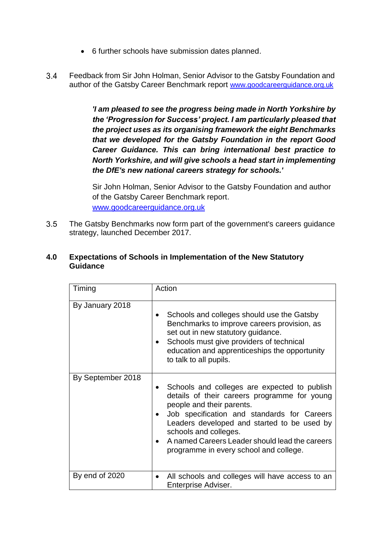- 6 further schools have submission dates planned.
- $34$ Feedback from Sir John Holman, Senior Advisor to the Gatsby Foundation and author of the Gatsby Career Benchmark report [www.goodcareerguidance.org.uk](http://www.goodcareerguidance.org.uk/)

*'I am pleased to see the progress being made in North Yorkshire by the 'Progression for Success' project. I am particularly pleased that the project uses as its organising framework the eight Benchmarks that we developed for the Gatsby Foundation in the report Good Career Guidance. This can bring international best practice to North Yorkshire, and will give schools a head start in implementing the DfE's new national careers strategy for schools.'*

Sir John Holman, Senior Advisor to the Gatsby Foundation and author of the Gatsby Career Benchmark report. [www.goodcareerguidance.org.uk](http://www.goodcareerguidance.org.uk/)

 $3.5$ The Gatsby Benchmarks now form part of the government's careers guidance strategy, launched December 2017.

#### **4.0 Expectations of Schools in Implementation of the New Statutory Guidance**

| Timing            | Action                                                                                                                                                                                                                                                                                                                                       |
|-------------------|----------------------------------------------------------------------------------------------------------------------------------------------------------------------------------------------------------------------------------------------------------------------------------------------------------------------------------------------|
| By January 2018   | Schools and colleges should use the Gatsby<br>Benchmarks to improve careers provision, as<br>set out in new statutory guidance.<br>Schools must give providers of technical<br>education and apprenticeships the opportunity<br>to talk to all pupils.                                                                                       |
| By September 2018 | Schools and colleges are expected to publish<br>details of their careers programme for young<br>people and their parents.<br>Job specification and standards for Careers<br>Leaders developed and started to be used by<br>schools and colleges.<br>A named Careers Leader should lead the careers<br>programme in every school and college. |
| By end of 2020    | All schools and colleges will have access to an<br>Enterprise Adviser.                                                                                                                                                                                                                                                                       |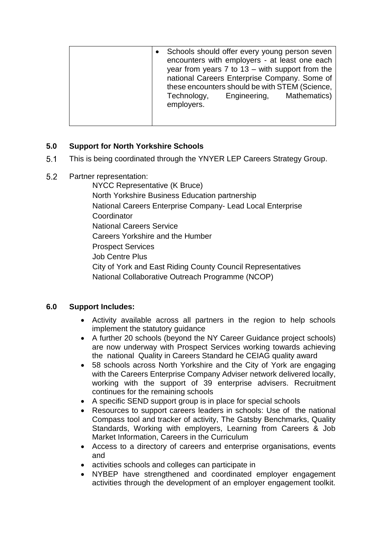# **5.0 Support for North Yorkshire Schools**

- $5.1$ This is being coordinated through the YNYER LEP Careers Strategy Group.
- 5.2 Partner representation:

NYCC Representative (K Bruce) North Yorkshire Business Education partnership National Careers Enterprise Company- Lead Local Enterprise **Coordinator** National Careers Service Careers Yorkshire and the Humber Prospect Services Job Centre Plus City of York and East Riding County Council Representatives National Collaborative Outreach Programme (NCOP)

# **6.0 Support Includes:**

- Activity available across all partners in the region to help schools implement the statutory guidance
- A further 20 schools (beyond the NY Career Guidance project schools) are now underway with Prospect Services working towards achieving the national Quality in Careers Standard he CEIAG quality award
- 58 schools across North Yorkshire and the City of York are engaging with the Careers Enterprise Company Adviser network delivered locally, working with the support of 39 enterprise advisers. Recruitment continues for the remaining schools
- A specific SEND support group is in place for special schools
- Resources to support careers leaders in schools: Use of the national Compass tool and tracker of activity, The Gatsby Benchmarks, Quality Standards, Working with employers, Learning from Careers & Job Market Information, Careers in the Curriculum
- Access to a directory of careers and enterprise organisations, events and
- activities schools and colleges can participate in
- NYBEP have strengthened and coordinated employer engagement activities through the development of an employer engagement toolkit.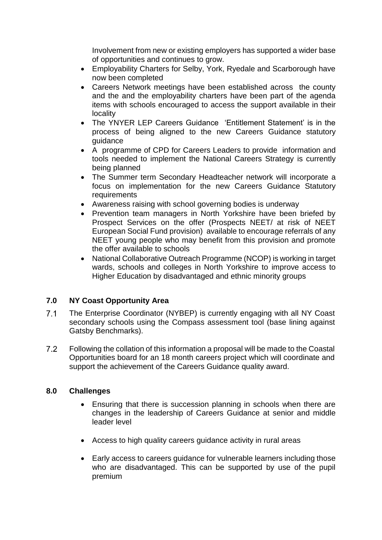Involvement from new or existing employers has supported a wider base of opportunities and continues to grow.

- Employability Charters for Selby, York, Ryedale and Scarborough have now been completed
- Careers Network meetings have been established across the county and the and the employability charters have been part of the agenda items with schools encouraged to access the support available in their locality
- The YNYER LEP Careers Guidance 'Entitlement Statement' is in the process of being aligned to the new Careers Guidance statutory guidance
- A programme of CPD for Careers Leaders to provide information and tools needed to implement the National Careers Strategy is currently being planned
- The Summer term Secondary Headteacher network will incorporate a focus on implementation for the new Careers Guidance Statutory **requirements**
- Awareness raising with school governing bodies is underway
- Prevention team managers in North Yorkshire have been briefed by Prospect Services on the offer (Prospects NEET/ at risk of NEET European Social Fund provision) available to encourage referrals of any NEET young people who may benefit from this provision and promote the offer available to schools
- National Collaborative Outreach Programme (NCOP) is working in target wards, schools and colleges in North Yorkshire to improve access to Higher Education by disadvantaged and ethnic minority groups

## **7.0 NY Coast Opportunity Area**

- $7<sub>1</sub>$ The Enterprise Coordinator (NYBEP) is currently engaging with all NY Coast secondary schools using the Compass assessment tool (base lining against Gatsby Benchmarks).
- $7.2$ Following the collation of this information a proposal will be made to the Coastal Opportunities board for an 18 month careers project which will coordinate and support the achievement of the Careers Guidance quality award.

## **8.0 Challenges**

- Ensuring that there is succession planning in schools when there are changes in the leadership of Careers Guidance at senior and middle leader level
- Access to high quality careers guidance activity in rural areas
- Early access to careers guidance for vulnerable learners including those who are disadvantaged. This can be supported by use of the pupil premium